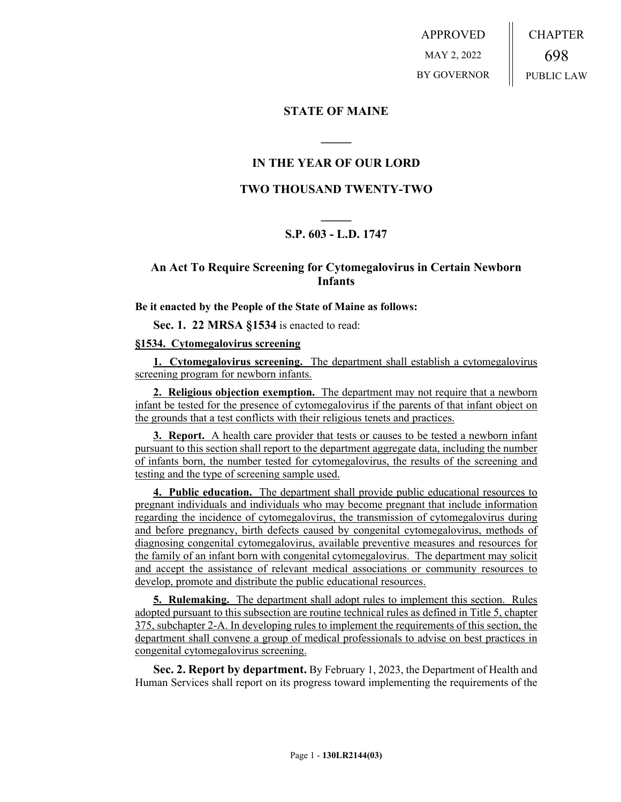APPROVED MAY 2, 2022 BY GOVERNOR CHAPTER 698 PUBLIC LAW

## **STATE OF MAINE**

## **IN THE YEAR OF OUR LORD**

**\_\_\_\_\_**

## **TWO THOUSAND TWENTY-TWO**

# **\_\_\_\_\_ S.P. 603 - L.D. 1747**

## **An Act To Require Screening for Cytomegalovirus in Certain Newborn Infants**

**Be it enacted by the People of the State of Maine as follows:**

**Sec. 1. 22 MRSA §1534** is enacted to read:

#### **§1534. Cytomegalovirus screening**

**1. Cytomegalovirus screening.** The department shall establish a cytomegalovirus screening program for newborn infants.

**2. Religious objection exemption.** The department may not require that a newborn infant be tested for the presence of cytomegalovirus if the parents of that infant object on the grounds that a test conflicts with their religious tenets and practices.

**3. Report.** A health care provider that tests or causes to be tested a newborn infant pursuant to this section shall report to the department aggregate data, including the number of infants born, the number tested for cytomegalovirus, the results of the screening and testing and the type of screening sample used.

**4. Public education.** The department shall provide public educational resources to pregnant individuals and individuals who may become pregnant that include information regarding the incidence of cytomegalovirus, the transmission of cytomegalovirus during and before pregnancy, birth defects caused by congenital cytomegalovirus, methods of diagnosing congenital cytomegalovirus, available preventive measures and resources for the family of an infant born with congenital cytomegalovirus. The department may solicit and accept the assistance of relevant medical associations or community resources to develop, promote and distribute the public educational resources.

**5. Rulemaking.** The department shall adopt rules to implement this section. Rules adopted pursuant to this subsection are routine technical rules as defined in Title 5, chapter 375, subchapter 2-A. In developing rules to implement the requirements of this section, the department shall convene a group of medical professionals to advise on best practices in congenital cytomegalovirus screening.

**Sec. 2. Report by department.** By February 1, 2023, the Department of Health and Human Services shall report on its progress toward implementing the requirements of the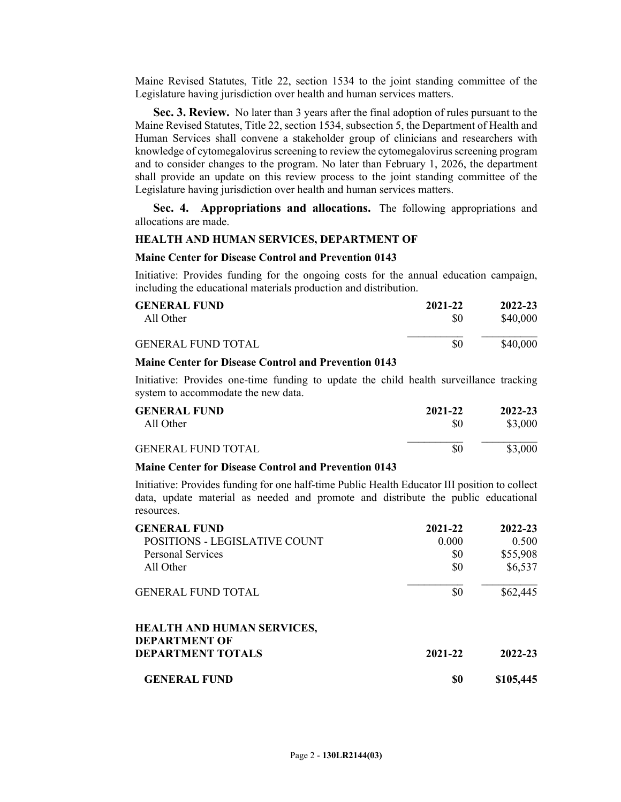Maine Revised Statutes, Title 22, section 1534 to the joint standing committee of the Legislature having jurisdiction over health and human services matters.

**Sec. 3. Review.** No later than 3 years after the final adoption of rules pursuant to the Maine Revised Statutes, Title 22, section 1534, subsection 5, the Department of Health and Human Services shall convene a stakeholder group of clinicians and researchers with knowledge of cytomegalovirus screening to review the cytomegalovirus screening program and to consider changes to the program. No later than February 1, 2026, the department shall provide an update on this review process to the joint standing committee of the Legislature having jurisdiction over health and human services matters.

**Sec. 4. Appropriations and allocations.** The following appropriations and allocations are made.

### **HEALTH AND HUMAN SERVICES, DEPARTMENT OF**

#### **Maine Center for Disease Control and Prevention 0143**

Initiative: Provides funding for the ongoing costs for the annual education campaign, including the educational materials production and distribution.

| <b>GENERAL FUND</b>       | 2021-22 | 2022-23  |
|---------------------------|---------|----------|
| All Other                 | \$0     | \$40,000 |
| <b>GENERAL FUND TOTAL</b> | \$0     | \$40,000 |

### **Maine Center for Disease Control and Prevention 0143**

Initiative: Provides one-time funding to update the child health surveillance tracking system to accommodate the new data.

| <b>GENERAL FUND</b>       | 2021-22 | 2022-23 |
|---------------------------|---------|---------|
| All Other                 | \$0     | \$3,000 |
| <b>GENERAL FUND TOTAL</b> | \$0     | \$3,000 |

### **Maine Center for Disease Control and Prevention 0143**

Initiative: Provides funding for one half-time Public Health Educator III position to collect data, update material as needed and promote and distribute the public educational resources.

| <b>GENERAL FUND</b>               | 2021-22 | 2022-23     |
|-----------------------------------|---------|-------------|
| POSITIONS - LEGISLATIVE COUNT     | 0.000   | 0.500       |
| <b>Personal Services</b>          | \$0     | \$55,908    |
| All Other                         | \$0     | \$6,537     |
| <b>GENERAL FUND TOTAL</b>         | \$0     | \$62,445    |
| <b>HEALTH AND HUMAN SERVICES,</b> |         |             |
| <b>DEPARTMENT OF</b>              |         |             |
| <b>DEPARTMENT TOTALS</b>          | 2021-22 | $2022 - 23$ |
| <b>GENERAL FUND</b>               | \$0     | \$105,445   |